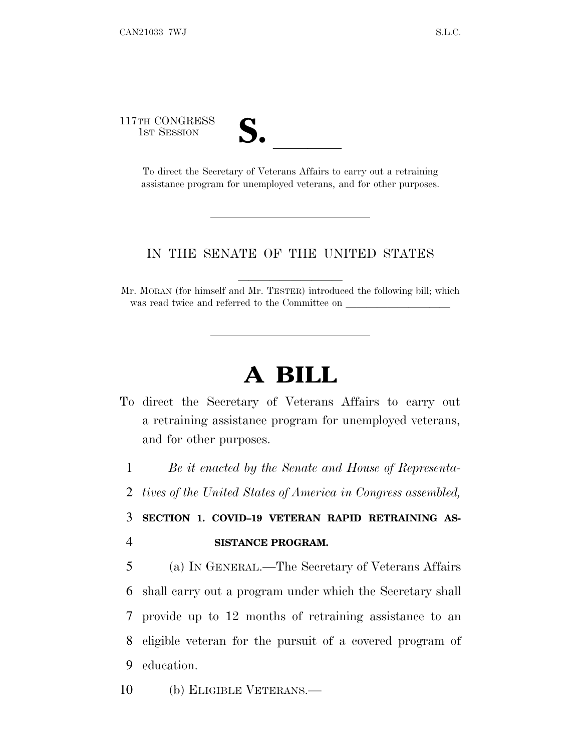117TH CONGRESS

TH CONGRESS<br>
1ST SESSION<br>
To direct the Secretary of Veterans Affairs to carry out a retraining assistance program for unemployed veterans, and for other purposes.

## IN THE SENATE OF THE UNITED STATES

Mr. MORAN (for himself and Mr. TESTER) introduced the following bill; which was read twice and referred to the Committee on

## **A BILL**

To direct the Secretary of Veterans Affairs to carry out a retraining assistance program for unemployed veterans, and for other purposes.

1 *Be it enacted by the Senate and House of Representa-*

2 *tives of the United States of America in Congress assembled,*

## 3 **SECTION 1. COVID–19 VETERAN RAPID RETRAINING AS-**4 **SISTANCE PROGRAM.**

 (a) I<sup>N</sup> GENERAL.—The Secretary of Veterans Affairs shall carry out a program under which the Secretary shall provide up to 12 months of retraining assistance to an eligible veteran for the pursuit of a covered program of education.

10 (b) ELIGIBLE VETERANS.—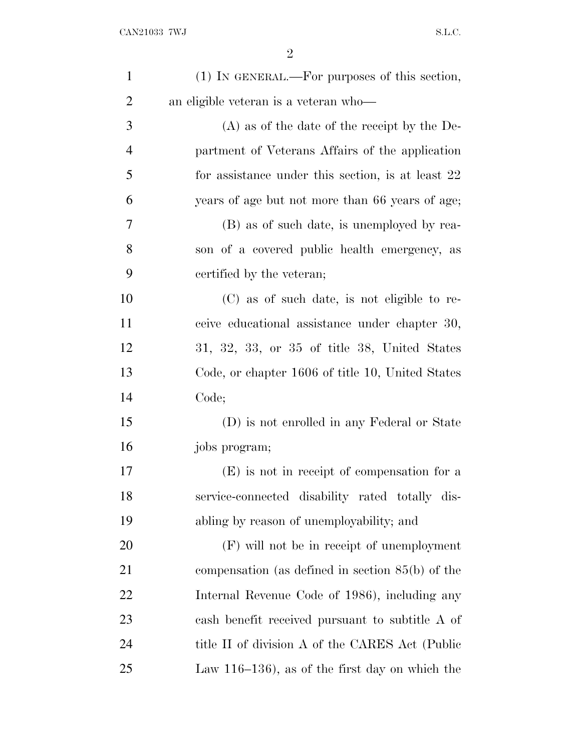| $\mathbf{1}$   | (1) IN GENERAL.—For purposes of this section,        |
|----------------|------------------------------------------------------|
| $\overline{c}$ | an eligible veteran is a veteran who—                |
| 3              | $(A)$ as of the date of the receipt by the De-       |
| $\overline{4}$ | partment of Veterans Affairs of the application      |
| 5              | for assistance under this section, is at least 22    |
| 6              | years of age but not more than 66 years of age;      |
| 7              | (B) as of such date, is unemployed by rea-           |
| 8              | son of a covered public health emergency, as         |
| 9              | certified by the veteran;                            |
| 10             | (C) as of such date, is not eligible to re-          |
| 11             | ceive educational assistance under chapter 30,       |
| 12             | $31, 32, 33,$ or $35$ of title $38$ , United States  |
| 13             | Code, or chapter 1606 of title 10, United States     |
| 14             | Code;                                                |
| 15             | (D) is not enrolled in any Federal or State          |
| 16             | jobs program;                                        |
| 17             | (E) is not in receipt of compensation for a          |
| 18             | service-connected disability rated totally dis-      |
| 19             | abling by reason of unemployability; and             |
| 20             | $(F)$ will not be in receipt of unemployment         |
| 21             | compensation (as defined in section $85(b)$ ) of the |
| 22             | Internal Revenue Code of 1986), including any        |
| 23             | cash benefit received pursuant to subtitle A of      |
| 24             | title II of division A of the CARES Act (Public      |
| 25             | Law $116-136$ , as of the first day on which the     |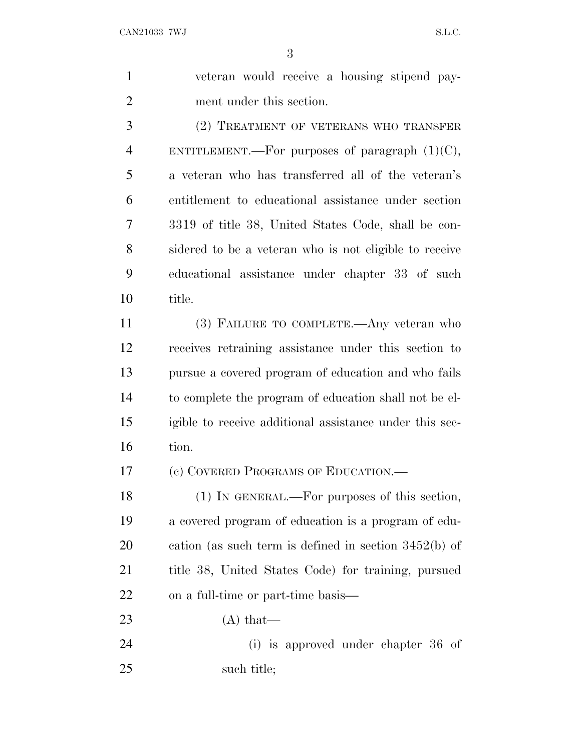veteran would receive a housing stipend pay-ment under this section.

 (2) TREATMENT OF VETERANS WHO TRANSFER 4 ENTITLEMENT.—For purposes of paragraph  $(1)(C)$ , a veteran who has transferred all of the veteran's entitlement to educational assistance under section 3319 of title 38, United States Code, shall be con- sidered to be a veteran who is not eligible to receive educational assistance under chapter 33 of such title.

 (3) FAILURE TO COMPLETE.—Any veteran who receives retraining assistance under this section to pursue a covered program of education and who fails to complete the program of education shall not be el- igible to receive additional assistance under this sec-tion.

(c) COVERED PROGRAMS OF EDUCATION.—

18 (1) IN GENERAL.—For purposes of this section, a covered program of education is a program of edu- cation (as such term is defined in section 3452(b) of title 38, United States Code) for training, pursued on a full-time or part-time basis—

23  $(A)$  that

 (i) is approved under chapter 36 of such title;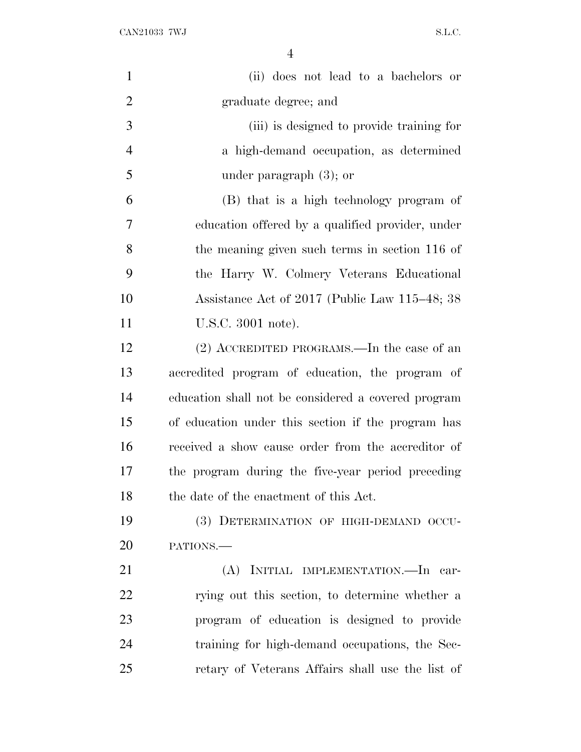| $\mathbf{1}$   | (ii) does not lead to a bachelors or                |
|----------------|-----------------------------------------------------|
| $\overline{2}$ | graduate degree; and                                |
| 3              | (iii) is designed to provide training for           |
| $\overline{4}$ | a high-demand occupation, as determined             |
| 5              | under paragraph $(3)$ ; or                          |
| 6              | (B) that is a high technology program of            |
| 7              | education offered by a qualified provider, under    |
| 8              | the meaning given such terms in section 116 of      |
| 9              | the Harry W. Colmery Veterans Educational           |
| 10             | Assistance Act of 2017 (Public Law 115–48; 38       |
| 11             | U.S.C. 3001 note).                                  |
| 12             | $(2)$ ACCREDITED PROGRAMS.—In the case of an        |
| 13             | accredited program of education, the program of     |
| 14             | education shall not be considered a covered program |
| 15             | of education under this section if the program has  |
| 16             | received a show cause order from the accreditor of  |
| 17             | the program during the five-year period preceding   |
| 18             | the date of the enactment of this Act.              |
| 19             | (3) DETERMINATION OF HIGH-DEMAND OCCU-              |
| 20             | PATIONS.                                            |
| 21             | (A) INITIAL IMPLEMENTATION.—In car-                 |
| 22             | rying out this section, to determine whether a      |
| 23             | program of education is designed to provide         |
| 24             | training for high-demand occupations, the Sec-      |
| 25             | retary of Veterans Affairs shall use the list of    |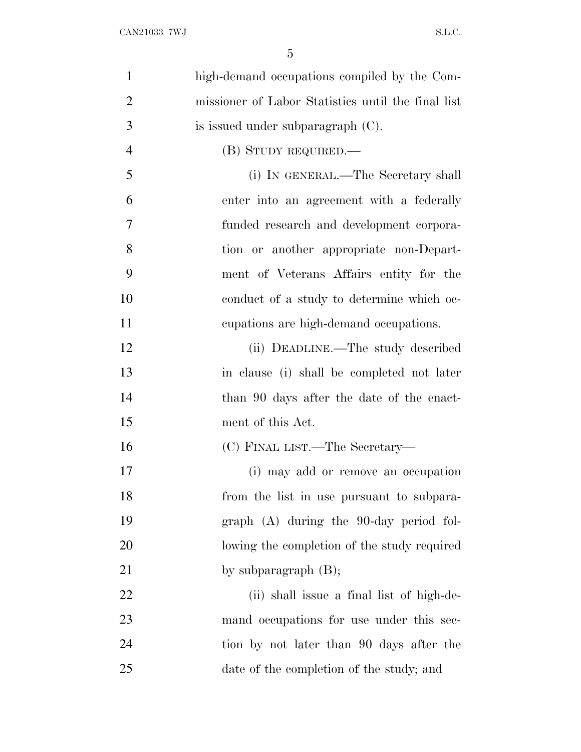| $\mathbf{1}$   | high-demand occupations compiled by the Com-       |
|----------------|----------------------------------------------------|
| $\overline{2}$ | missioner of Labor Statistics until the final list |
| 3              | is issued under subparagraph $(C)$ .               |
| $\overline{4}$ | (B) STUDY REQUIRED.—                               |
| 5              | (i) IN GENERAL.—The Secretary shall                |
| 6              | enter into an agreement with a federally           |
| 7              | funded research and development corpora-           |
| 8              | tion or another appropriate non-Depart-            |
| 9              | ment of Veterans Affairs entity for the            |
| 10             | conduct of a study to determine which oc-          |
| 11             | cupations are high-demand occupations.             |
| 12             | (ii) DEADLINE.—The study described                 |
| 13             | in clause (i) shall be completed not later         |
| 14             | than 90 days after the date of the enact-          |
| 15             | ment of this Act.                                  |
| 16             | (C) FINAL LIST.—The Secretary—                     |
| 17             | (i) may add or remove an occupation                |
| 18             | from the list in use pursuant to subpara-          |
| 19             | graph (A) during the 90-day period fol-            |
| 20             | lowing the completion of the study required        |
| 21             | by subparagraph $(B)$ ;                            |
| 22             | (ii) shall issue a final list of high-de-          |
| 23             | mand occupations for use under this sec-           |
| 24             | tion by not later than 90 days after the           |
| 25             | date of the completion of the study; and           |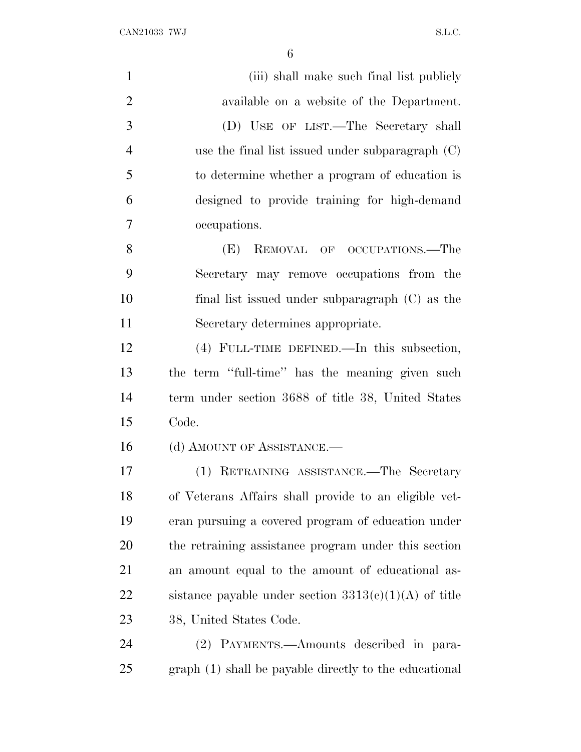| $\mathbf{1}$   | (iii) shall make such final list publicly               |
|----------------|---------------------------------------------------------|
| $\overline{2}$ | available on a website of the Department.               |
| 3              | (D) USE OF LIST.—The Secretary shall                    |
| $\overline{4}$ | use the final list issued under subparagraph $(C)$      |
| 5              | to determine whether a program of education is          |
| 6              | designed to provide training for high-demand            |
| 7              | occupations.                                            |
| 8              | REMOVAL OF OCCUPATIONS.—The<br>(E)                      |
| 9              | Secretary may remove occupations from the               |
| 10             | final list issued under subparagraph $(C)$ as the       |
| 11             | Secretary determines appropriate.                       |
| 12             | (4) FULL-TIME DEFINED.—In this subsection,              |
| 13             | the term "full-time" has the meaning given such         |
| 14             | term under section 3688 of title 38, United States      |
| 15             | Code.                                                   |
| 16             | (d) AMOUNT OF ASSISTANCE.—                              |
| 17             | (1) RETRAINING ASSISTANCE.—The Secretary                |
| 18             | of Veterans Affairs shall provide to an eligible vet-   |
| 19             | eran pursuing a covered program of education under      |
| 20             | the retraining assistance program under this section    |
| 21             | an amount equal to the amount of educational as-        |
| 22             | sistance payable under section $3313(c)(1)(A)$ of title |
| 23             | 38, United States Code.                                 |
| 24             | (2) PAYMENTS.—Amounts described in para-                |
| 25             | graph (1) shall be payable directly to the educational  |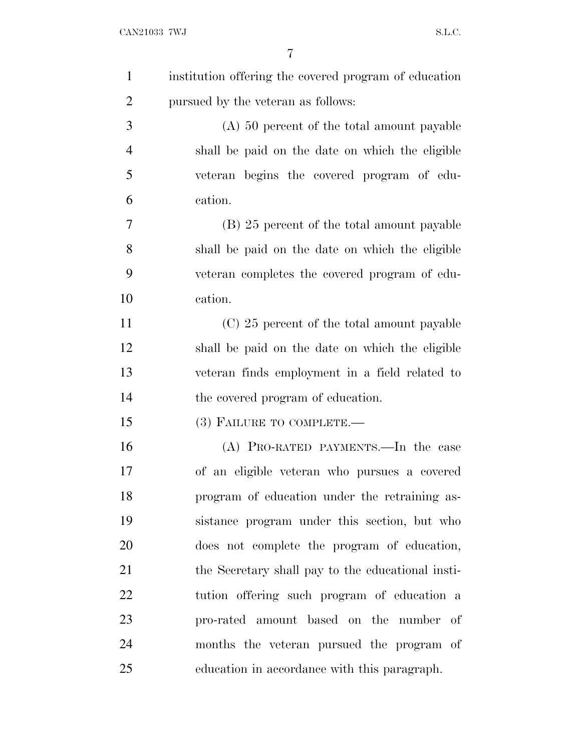| $\mathbf{1}$   | institution offering the covered program of education |
|----------------|-------------------------------------------------------|
| $\overline{2}$ | pursued by the veteran as follows:                    |
| 3              | $(A)$ 50 percent of the total amount payable          |
| $\overline{4}$ | shall be paid on the date on which the eligible       |
| 5              | veteran begins the covered program of edu-            |
| 6              | cation.                                               |
| 7              | (B) 25 percent of the total amount payable            |
| 8              | shall be paid on the date on which the eligible       |
| 9              | veteran completes the covered program of edu-         |
| 10             | cation.                                               |
| 11             | (C) 25 percent of the total amount payable            |
| 12             | shall be paid on the date on which the eligible       |
| 13             | veteran finds employment in a field related to        |
| 14             | the covered program of education.                     |
| 15             | $(3)$ FAILURE TO COMPLETE.—                           |
| 16             | (A) PRO-RATED PAYMENTS.—In the case                   |
| 17             | of an eligible veteran who pursues a covered          |
| 18             | program of education under the retraining as-         |
| 19             | sistance program under this section, but who          |
| 20             | does not complete the program of education,           |
| 21             | the Secretary shall pay to the educational insti-     |
| 22             | tution offering such program of education a           |
| 23             | pro-rated amount based on the number of               |
| 24             | months the veteran pursued the program of             |
| 25             | education in accordance with this paragraph.          |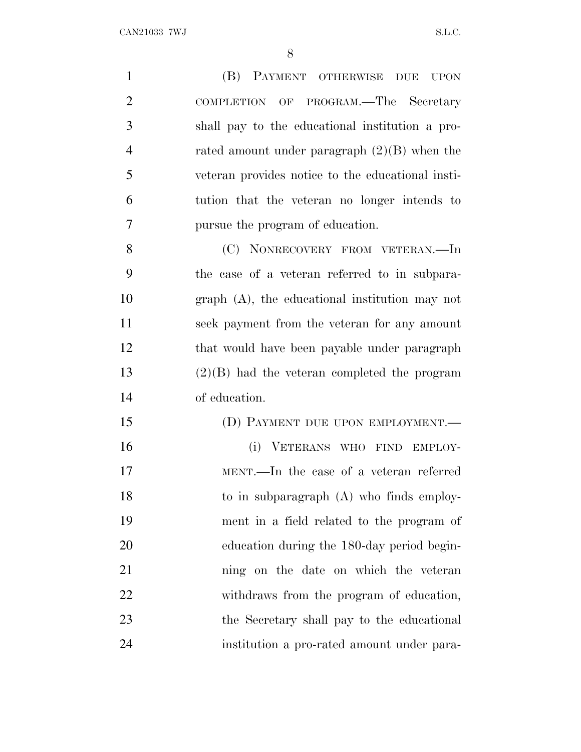(B) PAYMENT OTHERWISE DUE UPON COMPLETION OF PROGRAM.—The Secretary shall pay to the educational institution a pro- rated amount under paragraph (2)(B) when the veteran provides notice to the educational insti- tution that the veteran no longer intends to pursue the program of education. 8 (C) NONRECOVERY FROM VETERAN.—In the case of a veteran referred to in subpara- graph (A), the educational institution may not seek payment from the veteran for any amount that would have been payable under paragraph (2)(B) had the veteran completed the program of education. 15 (D) PAYMENT DUE UPON EMPLOYMENT. (i) VETERANS WHO FIND EMPLOY-MENT.—In the case of a veteran referred

 to in subparagraph (A) who finds employ- ment in a field related to the program of education during the 180-day period begin- ning on the date on which the veteran withdraws from the program of education, the Secretary shall pay to the educational institution a pro-rated amount under para-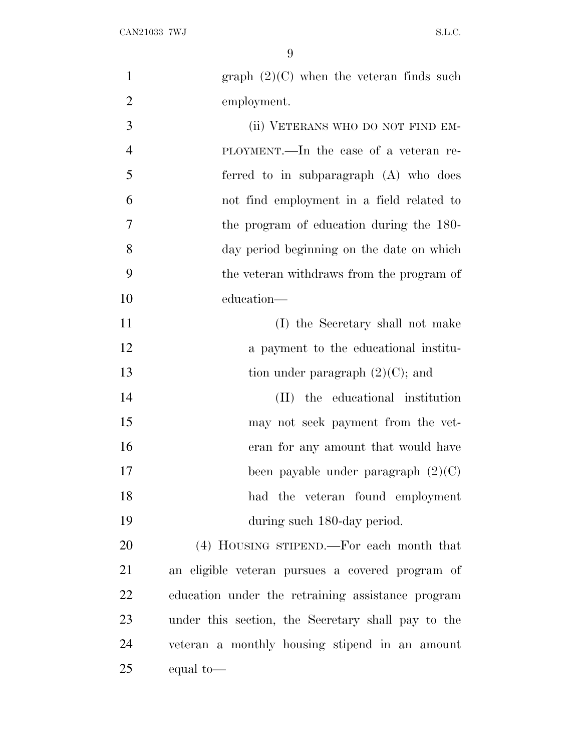| $\mathbf{1}$   | graph $(2)(C)$ when the veteran finds such         |
|----------------|----------------------------------------------------|
| $\overline{2}$ | employment.                                        |
| 3              | (ii) VETERANS WHO DO NOT FIND EM-                  |
| $\overline{4}$ | PLOYMENT.—In the case of a veteran re-             |
| 5              | ferred to in subparagraph (A) who does             |
| 6              | not find employment in a field related to          |
| 7              | the program of education during the 180-           |
| 8              | day period beginning on the date on which          |
| 9              | the veteran withdraws from the program of          |
| 10             | education—                                         |
| 11             | (I) the Secretary shall not make                   |
| 12             | a payment to the educational institu-              |
| 13             | tion under paragraph $(2)(C)$ ; and                |
| 14             | (II) the educational institution                   |
| 15             | may not seek payment from the vet-                 |
| 16             | eran for any amount that would have                |
| 17             | been payable under paragraph $(2)(C)$              |
| 18             | had the veteran found employment                   |
| 19             | during such 180-day period.                        |
| 20             | (4) HOUSING STIPEND.—For each month that           |
| 21             | an eligible veteran pursues a covered program of   |
| 22             | education under the retraining assistance program  |
| 23             | under this section, the Secretary shall pay to the |
| 24             | veteran a monthly housing stipend in an amount     |
| 25             | equal to-                                          |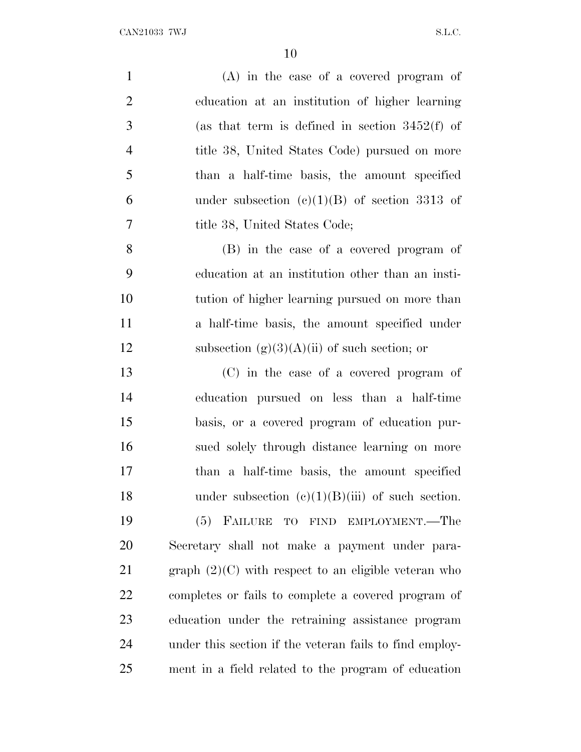| $\mathbf{1}$   | $(A)$ in the case of a covered program of               |
|----------------|---------------------------------------------------------|
| $\overline{2}$ | education at an institution of higher learning          |
| 3              | (as that term is defined in section $3452(f)$ of        |
| $\overline{4}$ | title 38, United States Code) pursued on more           |
| 5              | than a half-time basis, the amount specified            |
| 6              | under subsection (c)(1)(B) of section 3313 of           |
| 7              | title 38, United States Code;                           |
| 8              | (B) in the case of a covered program of                 |
| 9              | education at an institution other than an insti-        |
| 10             | tution of higher learning pursued on more than          |
| 11             | a half-time basis, the amount specified under           |
| 12             | subsection $(g)(3)(A)(ii)$ of such section; or          |
| 13             | (C) in the case of a covered program of                 |
| 14             | education pursued on less than a half-time              |
| 15             | basis, or a covered program of education pur-           |
| 16             | sued solely through distance learning on more           |
| 17             | than a half-time basis, the amount specified            |
| 18             | under subsection $(c)(1)(B)(iii)$ of such section.      |
| 19             | (5) FAILURE TO FIND EMPLOYMENT.—The                     |
| 20             | Secretary shall not make a payment under para-          |
| 21             | graph $(2)(C)$ with respect to an eligible veteran who  |
| 22             | completes or fails to complete a covered program of     |
| 23             | education under the retraining assistance program       |
| 24             | under this section if the veteran fails to find employ- |
| 25             | ment in a field related to the program of education     |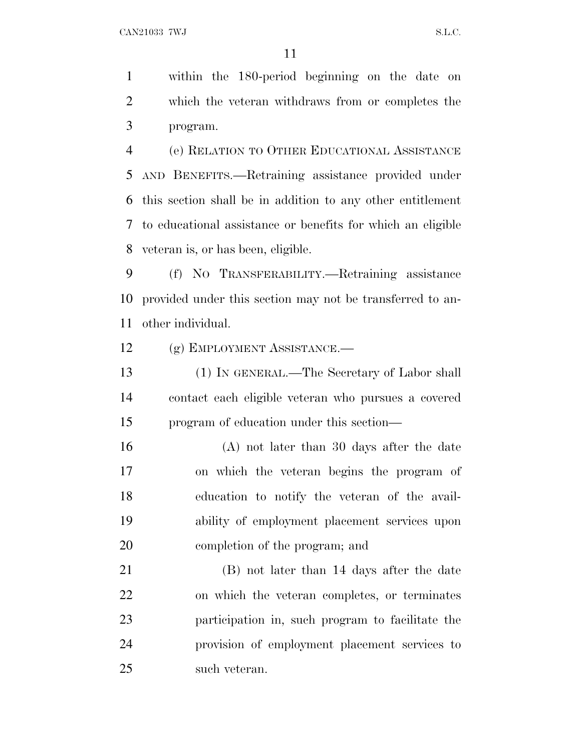within the 180-period beginning on the date on which the veteran withdraws from or completes the program.

 (e) RELATION TO OTHER EDUCATIONAL ASSISTANCE AND BENEFITS.—Retraining assistance provided under this section shall be in addition to any other entitlement to educational assistance or benefits for which an eligible veteran is, or has been, eligible.

 (f) N<sup>O</sup> TRANSFERABILITY.—Retraining assistance provided under this section may not be transferred to an-other individual.

(g) EMPLOYMENT ASSISTANCE.—

 (1) IN GENERAL.—The Secretary of Labor shall contact each eligible veteran who pursues a covered program of education under this section—

 (A) not later than 30 days after the date on which the veteran begins the program of education to notify the veteran of the avail- ability of employment placement services upon completion of the program; and

 (B) not later than 14 days after the date on which the veteran completes, or terminates participation in, such program to facilitate the provision of employment placement services to such veteran.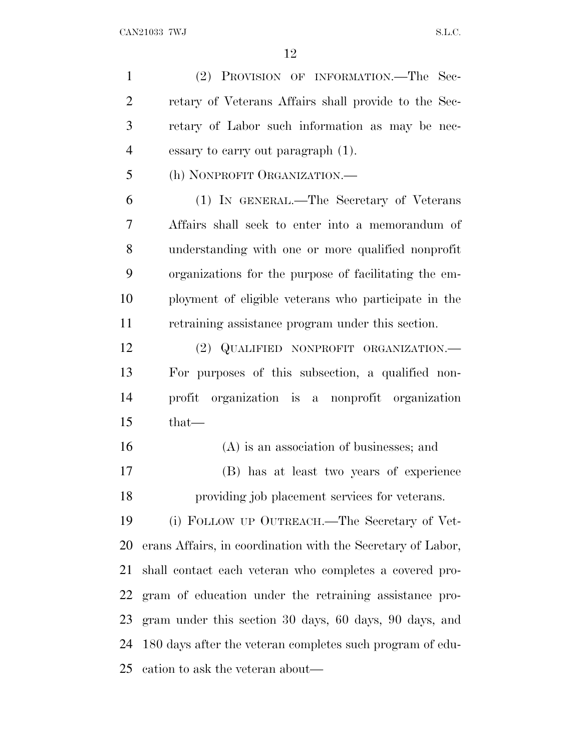(2) PROVISION OF INFORMATION.—The Sec- retary of Veterans Affairs shall provide to the Sec- retary of Labor such information as may be nec- essary to carry out paragraph (1). (h) NONPROFIT ORGANIZATION.— (1) IN GENERAL.—The Secretary of Veterans Affairs shall seek to enter into a memorandum of understanding with one or more qualified nonprofit organizations for the purpose of facilitating the em- ployment of eligible veterans who participate in the retraining assistance program under this section. (2) QUALIFIED NONPROFIT ORGANIZATION.— For purposes of this subsection, a qualified non- profit organization is a nonprofit organization that— (A) is an association of businesses; and (B) has at least two years of experience providing job placement services for veterans. (i) FOLLOW UP OUTREACH.—The Secretary of Vet- erans Affairs, in coordination with the Secretary of Labor, shall contact each veteran who completes a covered pro- gram of education under the retraining assistance pro- gram under this section 30 days, 60 days, 90 days, and 180 days after the veteran completes such program of edu-

cation to ask the veteran about—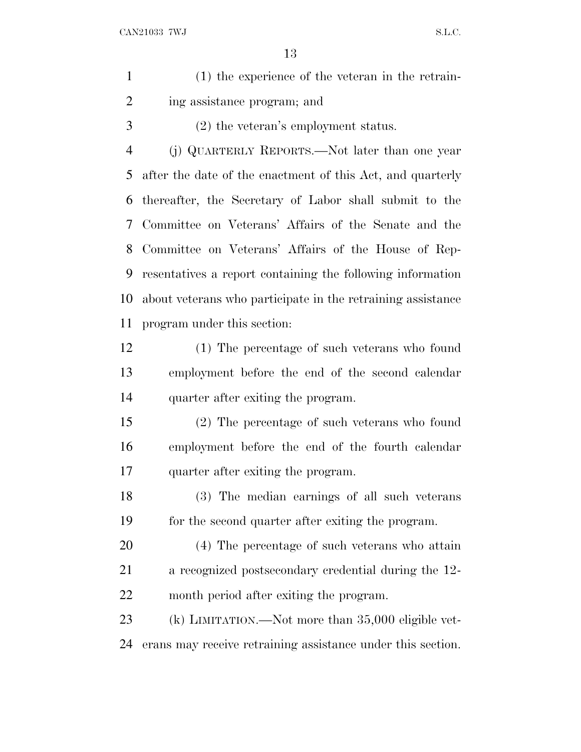| (1) the experience of the veteran in the retrain- |
|---------------------------------------------------|
| ing assistance program; and                       |

(2) the veteran's employment status.

 (j) QUARTERLY REPORTS.—Not later than one year after the date of the enactment of this Act, and quarterly thereafter, the Secretary of Labor shall submit to the Committee on Veterans' Affairs of the Senate and the Committee on Veterans' Affairs of the House of Rep- resentatives a report containing the following information about veterans who participate in the retraining assistance program under this section:

- (1) The percentage of such veterans who found employment before the end of the second calendar quarter after exiting the program.
- (2) The percentage of such veterans who found employment before the end of the fourth calendar quarter after exiting the program.
- (3) The median earnings of all such veterans for the second quarter after exiting the program.
- (4) The percentage of such veterans who attain a recognized postsecondary credential during the 12- month period after exiting the program.
- (k) LIMITATION.—Not more than 35,000 eligible vet-erans may receive retraining assistance under this section.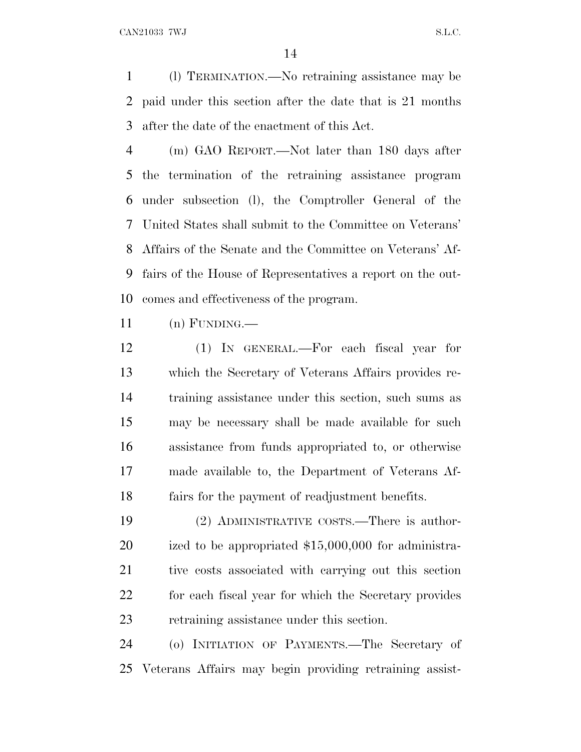(l) TERMINATION.—No retraining assistance may be paid under this section after the date that is 21 months after the date of the enactment of this Act.

 (m) GAO REPORT.—Not later than 180 days after the termination of the retraining assistance program under subsection (l), the Comptroller General of the United States shall submit to the Committee on Veterans' Affairs of the Senate and the Committee on Veterans' Af- fairs of the House of Representatives a report on the out-comes and effectiveness of the program.

 $11 \quad (n)$  FUNDING.—

 (1) IN GENERAL.—For each fiscal year for which the Secretary of Veterans Affairs provides re- training assistance under this section, such sums as may be necessary shall be made available for such assistance from funds appropriated to, or otherwise made available to, the Department of Veterans Af-fairs for the payment of readjustment benefits.

 (2) ADMINISTRATIVE COSTS.—There is author- ized to be appropriated \$15,000,000 for administra- tive costs associated with carrying out this section for each fiscal year for which the Secretary provides retraining assistance under this section.

 (o) INITIATION OF PAYMENTS.—The Secretary of Veterans Affairs may begin providing retraining assist-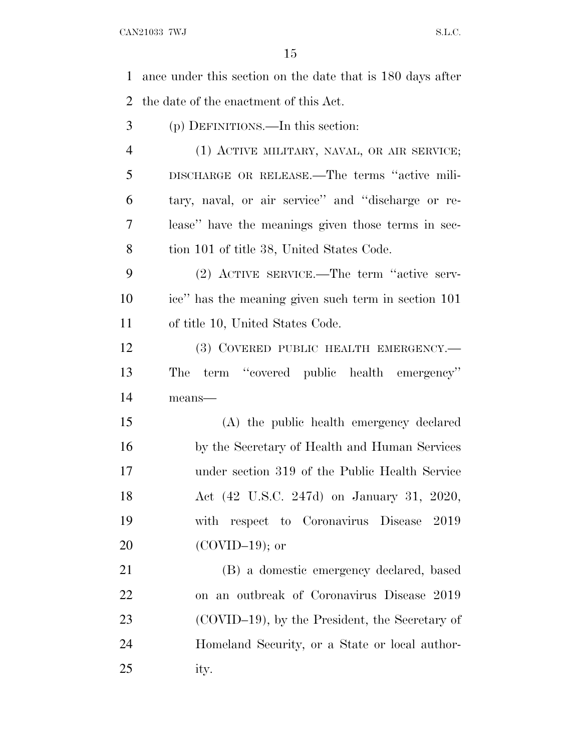ance under this section on the date that is 180 days after the date of the enactment of this Act. (p) DEFINITIONS.—In this section: (1) ACTIVE MILITARY, NAVAL, OR AIR SERVICE; DISCHARGE OR RELEASE.—The terms ''active mili- tary, naval, or air service'' and ''discharge or re- lease'' have the meanings given those terms in sec-8 tion 101 of title 38, United States Code. (2) ACTIVE SERVICE.—The term ''active serv- ice'' has the meaning given such term in section 101 of title 10, United States Code. 12 (3) COVERED PUBLIC HEALTH EMERGENCY.— The term ''covered public health emergency'' means— (A) the public health emergency declared by the Secretary of Health and Human Services under section 319 of the Public Health Service Act (42 U.S.C. 247d) on January 31, 2020, with respect to Coronavirus Disease 2019 (COVID–19); or (B) a domestic emergency declared, based on an outbreak of Coronavirus Disease 2019 (COVID–19), by the President, the Secretary of Homeland Security, or a State or local author-ity.